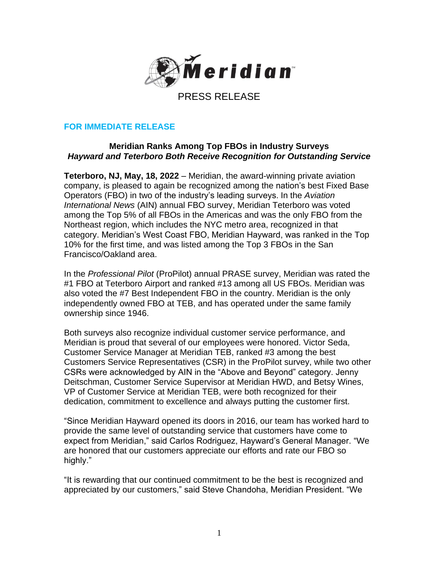

# **FOR IMMEDIATE RELEASE**

## **Meridian Ranks Among Top FBOs in Industry Surveys** *Hayward and Teterboro Both Receive Recognition for Outstanding Service*

**Teterboro, NJ, May, 18, 2022** – Meridian, the award-winning private aviation company, is pleased to again be recognized among the nation's best Fixed Base Operators (FBO) in two of the industry's leading surveys. In the *Aviation International News* (AIN) annual FBO survey, Meridian Teterboro was voted among the Top 5% of all FBOs in the Americas and was the only FBO from the Northeast region, which includes the NYC metro area, recognized in that category. Meridian's West Coast FBO, Meridian Hayward, was ranked in the Top 10% for the first time, and was listed among the Top 3 FBOs in the San Francisco/Oakland area.

In the *Professional Pilot* (ProPilot) annual PRASE survey, Meridian was rated the #1 FBO at Teterboro Airport and ranked #13 among all US FBOs. Meridian was also voted the #7 Best Independent FBO in the country. Meridian is the only independently owned FBO at TEB, and has operated under the same family ownership since 1946.

Both surveys also recognize individual customer service performance, and Meridian is proud that several of our employees were honored. Victor Seda, Customer Service Manager at Meridian TEB, ranked #3 among the best Customers Service Representatives (CSR) in the ProPilot survey, while two other CSRs were acknowledged by AIN in the "Above and Beyond" category. Jenny Deitschman, Customer Service Supervisor at Meridian HWD, and Betsy Wines, VP of Customer Service at Meridian TEB, were both recognized for their dedication, commitment to excellence and always putting the customer first.

"Since Meridian Hayward opened its doors in 2016, our team has worked hard to provide the same level of outstanding service that customers have come to expect from Meridian," said Carlos Rodriguez, Hayward's General Manager. "We are honored that our customers appreciate our efforts and rate our FBO so highly."

"It is rewarding that our continued commitment to be the best is recognized and appreciated by our customers," said Steve Chandoha, Meridian President. "We